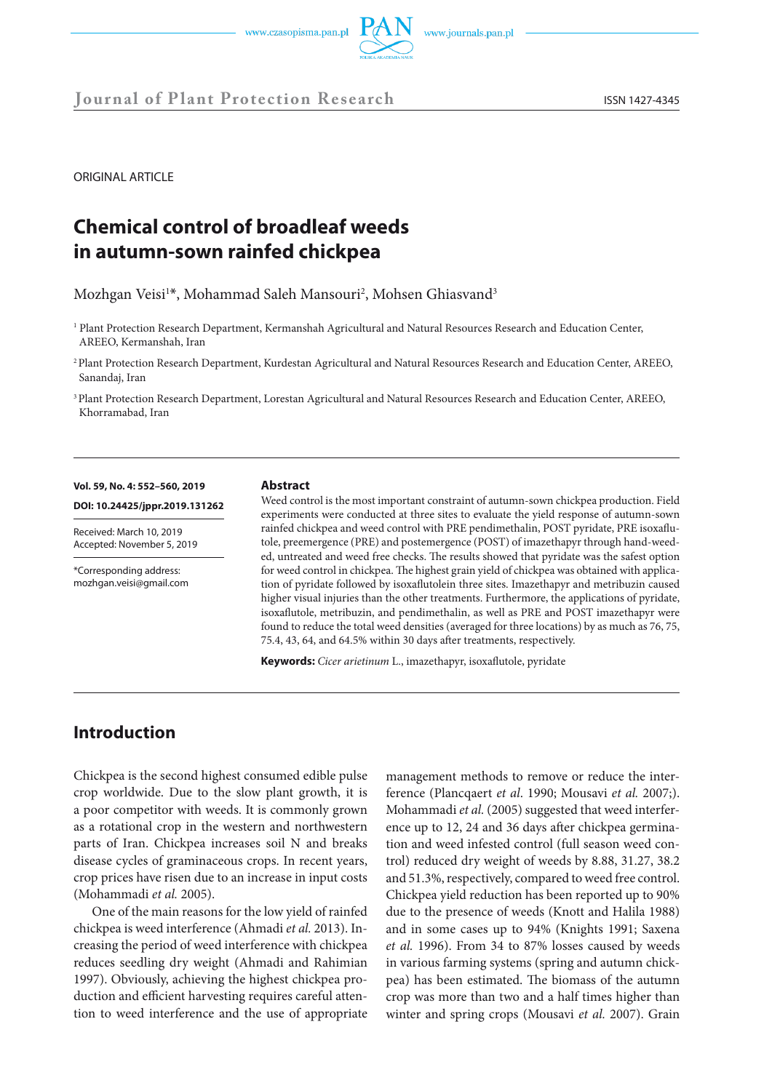**Journal of Plant Protection Research** ISSN 1427-4345

ORIGINAL ARTICLE

# **Chemical control of broadleaf weeds in autumn-sown rainfed chickpea**

Mozhgan Veisi<sup>1\*</sup>, Mohammad Saleh Mansouri<sup>2</sup>, Mohsen Ghiasvand<sup>3</sup>

1 Plant Protection Research Department, Kermanshah Agricultural and Natural Resources Research and Education Center, AREEO, Kermanshah, Iran

2 Plant Protection Research Department, Kurdestan Agricultural and Natural Resources Research and Education Center, AREEO, Sanandaj, Iran

3 Plant Protection Research Department, Lorestan Agricultural and Natural Resources Research and Education Center, AREEO, Khorramabad, Iran

#### **Vol. 59, No. 4: 552–560, 2019**

**DOI: 10.24425/jppr.2019.131262**

Received: March 10, 2019 Accepted: November 5, 2019

\*Corresponding address: mozhgan.veisi@gmail.com

#### **Abstract**

Weed control is the most important constraint of autumn-sown chickpea production. Field experiments were conducted at three sites to evaluate the yield response of autumn-sown rainfed chickpea and weed control with PRE pendimethalin, POST pyridate, PRE isoxaflutole, preemergence (PRE) and postemergence (POST) of imazethapyr through hand-weeded, untreated and weed free checks. The results showed that pyridate was the safest option for weed control in chickpea. The highest grain yield of chickpea was obtained with application of pyridate followed by isoxaflutolein three sites. Imazethapyr and metribuzin caused higher visual injuries than the other treatments. Furthermore, the applications of pyridate, isoxaflutole, metribuzin, and pendimethalin, as well as PRE and POST imazethapyr were found to reduce the total weed densities (averaged for three locations) by as much as 76, 75, 75.4, 43, 64, and 64.5% within 30 days after treatments, respectively.

**Keywords:** *Cicer arietinum* L., imazethapyr, isoxaflutole, pyridate

# **Introduction**

Chickpea is the second highest consumed edible pulse crop worldwide. Due to the slow plant growth, it is a poor competitor with weeds. It is commonly grown as a rotational crop in the western and northwestern parts of Iran. Chickpea increases soil N and breaks disease cycles of graminaceous crops. In recent years, crop prices have risen due to an increase in input costs (Mohammadi *et al.* 2005).

One of the main reasons for the low yield of rainfed chickpea is weed interference (Ahmadi *et al.* 2013). Increasing the period of weed interference with chickpea reduces seedling dry weight (Ahmadi and Rahimian 1997). Obviously, achieving the highest chickpea production and efficient harvesting requires careful attention to weed interference and the use of appropriate management methods to remove or reduce the interference (Plancqaert *et al*. 1990; Mousavi *et al.* 2007;). Mohammadi *et al.* (2005) suggested that weed interference up to 12, 24 and 36 days after chickpea germination and weed infested control (full season weed control) reduced dry weight of weeds by 8.88, 31.27, 38.2 and 51.3%, respectively, compared to weed free control. Chickpea yield reduction has been reported up to 90% due to the presence of weeds (Knott and Halila 1988) and in some cases up to 94% (Knights 1991; Saxena *et al.* 1996). From 34 to 87% losses caused by weeds in various farming systems (spring and autumn chickpea) has been estimated. The biomass of the autumn crop was more than two and a half times higher than winter and spring crops (Mousavi *et al.* 2007). Grain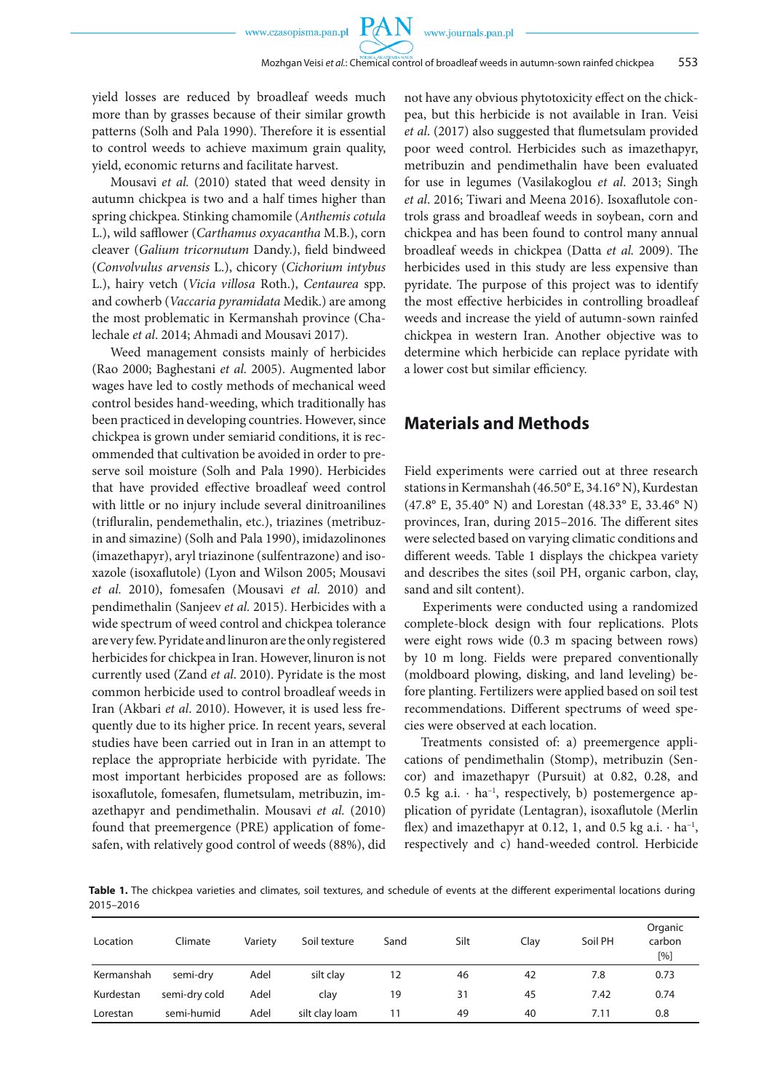$P_{\Lambda}$ 

yield losses are reduced by broadleaf weeds much more than by grasses because of their similar growth patterns (Solh and Pala 1990). Therefore it is essential to control weeds to achieve maximum grain quality, yield, economic returns and facilitate harvest.

Mousavi *et al.* (2010) stated that weed density in autumn chickpea is two and a half times higher than spring chickpea. Stinking chamomile (*Anthemis cotula* L.), wild safflower (*Carthamus oxyacantha* M.B.), corn cleaver (*Galium tricornutum* Dandy.), field bindweed (*Convolvulus arvensis* L.), chicory (*Cichorium intybus* L.), hairy vetch (*Vicia villosa* Roth.), *Centaurea* spp. and cowherb (*Vaccaria pyramidata* Medik.) are among the most problematic in Kermanshah province (Chalechale *et al*. 2014; Ahmadi and Mousavi 2017).

Weed management consists mainly of herbicides (Rao 2000; Baghestani *et al.* 2005). Augmented labor wages have led to costly methods of mechanical weed control besides hand-weeding, which traditionally has been practiced in developing countries. However, since chickpea is grown under semiarid conditions, it is recommended that cultivation be avoided in order to preserve soil moisture (Solh and Pala 1990). Herbicides that have provided effective broadleaf weed control with little or no injury include several dinitroanilines (trifluralin, pendemethalin, etc.), triazines (metribuzin and simazine) (Solh and Pala 1990), imidazolinones (imazethapyr), aryl triazinone (sulfentrazone) and isoxazole (isoxaflutole) (Lyon and Wilson 2005; Mousavi *et al.* 2010), fomesafen (Mousavi *et al.* 2010) and pendimethalin (Sanjeev *et al.* 2015). Herbicides with a wide spectrum of weed control and chickpea tolerance are very few. Pyridate and linuron are the only registered herbicides for chickpea in Iran. However, linuron is not currently used (Zand *et al*. 2010). Pyridate is the most common herbicide used to control broadleaf weeds in Iran (Akbari *et al*. 2010). However, it is used less frequently due to its higher price. In recent years, several studies have been carried out in Iran in an attempt to replace the appropriate herbicide with pyridate. The most important herbicides proposed are as follows: isoxaflutole, fomesafen, flumetsulam, metribuzin, imazethapyr and pendimethalin. Mousavi *et al.* (2010) found that preemergence (PRE) application of fomesafen, with relatively good control of weeds (88%), did not have any obvious phytotoxicity effect on the chickpea, but this herbicide is not available in Iran. Veisi *et al*. (2017) also suggested that flumetsulam provided poor weed control. Herbicides such as imazethapyr, metribuzin and pendimethalin have been evaluated for use in legumes (Vasilakoglou *et al*. 2013; Singh *et al*. 2016; Tiwari and Meena 2016). Isoxaflutole controls grass and broadleaf weeds in soybean, corn and chickpea and has been found to control many annual broadleaf weeds in chickpea (Datta *et al.* 2009). The herbicides used in this study are less expensive than pyridate. The purpose of this project was to identify the most effective herbicides in controlling broadleaf weeds and increase the yield of autumn-sown rainfed chickpea in western Iran. Another objective was to determine which herbicide can replace pyridate with a lower cost but similar efficiency.

# **Materials and Methods**

Field experiments were carried out at three research stations in Kermanshah (46.50° E, 34.16° N), Kurdestan (47.8° E, 35.40° N) and Lorestan (48.33° E, 33.46° N) provinces, Iran, during 2015–2016. The different sites were selected based on varying climatic conditions and different weeds. Table 1 displays the chickpea variety and describes the sites (soil PH, organic carbon, clay, sand and silt content).

Experiments were conducted using a randomized complete-block design with four replications. Plots were eight rows wide (0.3 m spacing between rows) by 10 m long. Fields were prepared conventionally (moldboard plowing, disking, and land leveling) before planting. Fertilizers were applied based on soil test recommendations. Different spectrums of weed species were observed at each location.

Treatments consisted of: a) preemergence applications of pendimethalin (Stomp), metribuzin (Sencor) and imazethapyr (Pursuit) at 0.82, 0.28, and 0.5 kg a.i.  $\cdot$  ha<sup>-1</sup>, respectively, b) postemergence application of pyridate (Lentagran), isoxaflutole (Merlin flex) and imazethapyr at 0.12, 1, and 0.5 kg a.i.  $\cdot$  ha<sup>-1</sup>, respectively and c) hand-weeded control. Herbicide

**Table 1.** The chickpea varieties and climates, soil textures, and schedule of events at the different experimental locations during 2015–2016

| Location   | Climate       | Variety | Soil texture   | Sand | Silt | Clay | Soil PH | Organic<br>carbon<br>[%] |
|------------|---------------|---------|----------------|------|------|------|---------|--------------------------|
| Kermanshah | semi-dry      | Adel    | silt clay      | 12   | 46   | 42   | 7.8     | 0.73                     |
| Kurdestan  | semi-dry cold | Adel    | clay           | 19   | 31   | 45   | 7.42    | 0.74                     |
| Lorestan   | semi-humid    | Adel    | silt clay loam | 11   | 49   | 40   | 7.11    | 0.8                      |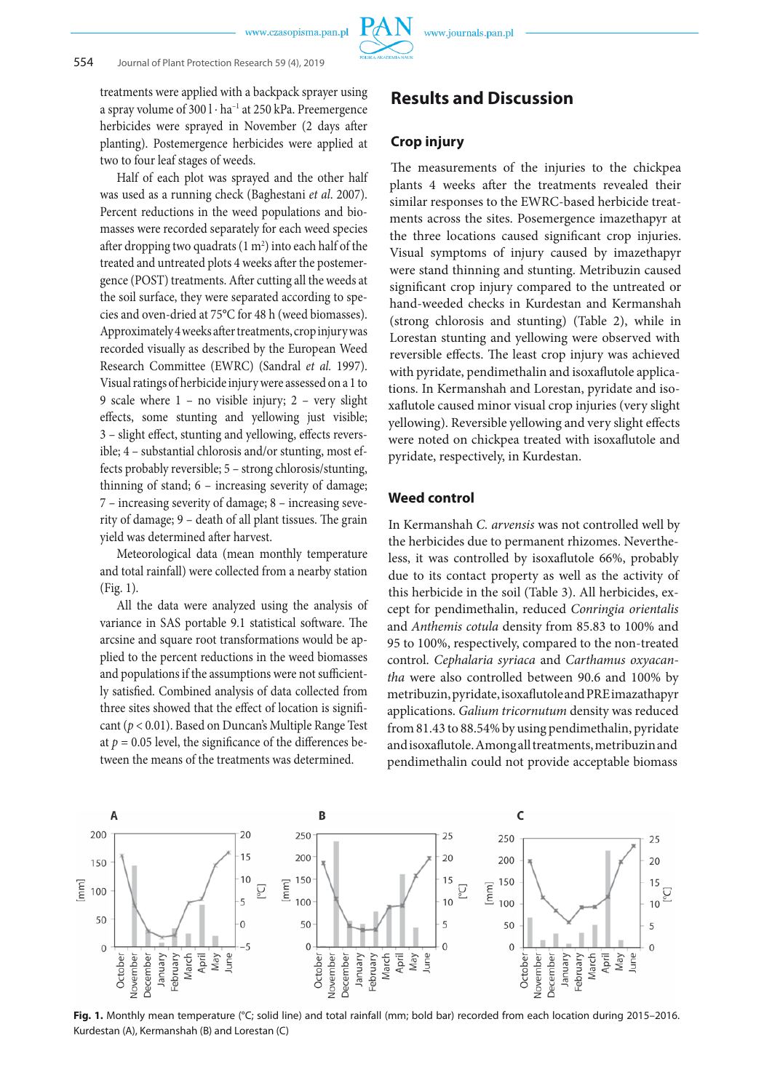treatments were applied with a backpack sprayer using a spray volume of 300 l ⋅ ha–1 at 250 kPa. Preemergence herbicides were sprayed in November (2 days after planting). Postemergence herbicides were applied at two to four leaf stages of weeds.

Half of each plot was sprayed and the other half was used as a running check (Baghestani *et al*. 2007). Percent reductions in the weed populations and biomasses were recorded separately for each weed species after dropping two quadrats  $(1 \text{ m}^2)$  into each half of the treated and untreated plots 4 weeks after the postemergence (POST) treatments. After cutting all the weeds at the soil surface, they were separated according to species and oven-dried at 75°C for 48 h (weed biomasses). Approximately 4 weeks after treatments, crop injury was recorded visually as described by the European Weed Research Committee (EWRC) (Sandral *et al.* 1997). Visual ratings of herbicide injury were assessed on a 1 to 9 scale where 1 – no visible injury; 2 – very slight effects, some stunting and yellowing just visible; 3 – slight effect, stunting and yellowing, effects reversible; 4 – substantial chlorosis and/or stunting, most effects probably reversible; 5 – strong chlorosis/stunting, thinning of stand; 6 – increasing severity of damage; 7 – increasing severity of damage; 8 – increasing severity of damage; 9 – death of all plant tissues. The grain yield was determined after harvest.

Meteorological data (mean monthly temperature and total rainfall) were collected from a nearby station (Fig. 1).

All the data were analyzed using the analysis of variance in SAS portable 9.1 statistical software. The arcsine and square root transformations would be applied to the percent reductions in the weed biomasses and populations if the assumptions were not sufficiently satisfied. Combined analysis of data collected from three sites showed that the effect of location is significant (*p* < 0.01). Based on Duncan's Multiple Range Test at  $p = 0.05$  level, the significance of the differences between the means of the treatments was determined.

**Results and Discussion**

### **Crop injury**

The measurements of the injuries to the chickpea plants 4 weeks after the treatments revealed their similar responses to the EWRC-based herbicide treatments across the sites. Posemergence imazethapyr at the three locations caused significant crop injuries. Visual symptoms of injury caused by imazethapyr were stand thinning and stunting. Metribuzin caused significant crop injury compared to the untreated or hand-weeded checks in Kurdestan and Kermanshah (strong chlorosis and stunting) (Table 2), while in Lorestan stunting and yellowing were observed with reversible effects. The least crop injury was achieved with pyridate, pendimethalin and isoxaflutole applications. In Kermanshah and Lorestan, pyridate and isoxaflutole caused minor visual crop injuries (very slight yellowing). Reversible yellowing and very slight effects were noted on chickpea treated with isoxaflutole and pyridate, respectively, in Kurdestan.

### **Weed control**

In Kermanshah *C. arvensis* was not controlled well by the herbicides due to permanent rhizomes. Nevertheless, it was controlled by isoxaflutole 66%, probably due to its contact property as well as the activity of this herbicide in the soil (Table 3). All herbicides, except for pendimethalin, reduced *Conringia orientalis* and *Anthemis cotula* density from 85.83 to 100% and 95 to 100%, respectively, compared to the non-treated control. *Cephalaria syriaca* and *Carthamus oxyacantha* were also controlled between 90.6 and 100% by metribuzin, pyridate, isoxaflutole and PRE imazathapyr applications. *Galium tricornutum* density was reduced from 81.43 to 88.54% by using pendimethalin, pyridate and isoxaflutole. Among all treatments, metribuzin and pendimethalin could not provide acceptable biomass



**Fig. 1.** Monthly mean temperature (°C; solid line) and total rainfall (mm; bold bar) recorded from each location during 2015–2016. Kurdestan (A), Kermanshah (B) and Lorestan (C)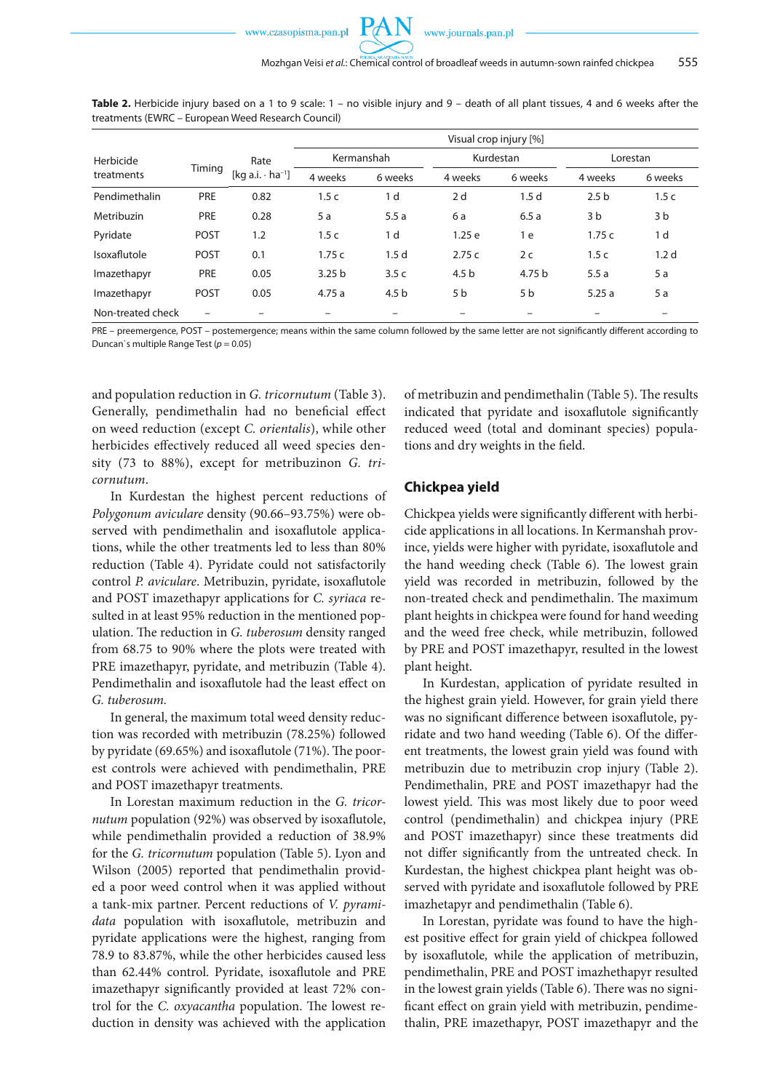

|                   |                          |                                             | Visual crop injury [%] |                  |                  |                  |                  |                  |  |
|-------------------|--------------------------|---------------------------------------------|------------------------|------------------|------------------|------------------|------------------|------------------|--|
| Herbicide         | Timing                   | Rate<br>[kg a.i. $\cdot$ ha <sup>-1</sup> ] |                        | Kermanshah       | Kurdestan        |                  | Lorestan         |                  |  |
| treatments        |                          |                                             | 4 weeks                | 6 weeks          | 4 weeks          | 6 weeks          | 4 weeks          | 6 weeks          |  |
| Pendimethalin     | PRE                      | 0.82                                        | 1.5c                   | 1 d              | 2d               | 1.5 <sub>d</sub> | 2.5 <sub>b</sub> | 1.5c             |  |
| Metribuzin        | <b>PRE</b>               | 0.28                                        | 5 a                    | 5.5a             | 6 a              | 6.5a             | 3 b              | 3 b              |  |
| Pyridate          | <b>POST</b>              | 1.2                                         | 1.5c                   | 1 d              | 1.25e            | 1 e              | 1.75c            | 1 d              |  |
| Isoxaflutole      | POST                     | 0.1                                         | 1.75c                  | 1.5 <sub>d</sub> | 2.75c            | 2c               | 1.5c             | 1.2 <sub>d</sub> |  |
| Imazethapyr       | <b>PRE</b>               | 0.05                                        | 3.25 <sub>b</sub>      | 3.5c             | 4.5 <sub>b</sub> | 4.75 b           | 5.5a             | 5a               |  |
| Imazethapyr       | POST                     | 0.05                                        | 4.75a                  | 4.5 <sub>b</sub> | 5 b              | 5 <sub>b</sub>   | 5.25a            | 5 a              |  |
| Non-treated check | $\overline{\phantom{0}}$ |                                             |                        |                  |                  |                  |                  |                  |  |

PRE – preemergence, POST – postemergence; means within the same column followed by the same letter are not significantly different according to Duncan`s multiple Range Test (*p* = 0.05)

and population reduction in *G. tricornutum* (Table 3). Generally, pendimethalin had no beneficial effect on weed reduction (except *C. orientalis*), while other herbicides effectively reduced all weed species density (73 to 88%), except for metribuzinon *G. tricornutum*.

In Kurdestan the highest percent reductions of *Polygonum aviculare* density (90.66–93.75%) were observed with pendimethalin and isoxaflutole applications, while the other treatments led to less than 80% reduction (Table 4). Pyridate could not satisfactorily control *P. aviculare*. Metribuzin, pyridate, isoxaflutole and POST imazethapyr applications for *C. syriaca* resulted in at least 95% reduction in the mentioned population. The reduction in *G. tuberosum* density ranged from 68.75 to 90% where the plots were treated with PRE imazethapyr, pyridate, and metribuzin (Table 4). Pendimethalin and isoxaflutole had the least effect on *G. tuberosum.*

In general, the maximum total weed density reduction was recorded with metribuzin (78.25%) followed by pyridate (69.65%) and isoxaflutole (71%). The poorest controls were achieved with pendimethalin, PRE and POST imazethapyr treatments.

In Lorestan maximum reduction in the *G. tricornutum* population (92%) was observed by isoxaflutole, while pendimethalin provided a reduction of 38.9% for the *G. tricornutum* population (Table 5). Lyon and Wilson (2005) reported that pendimethalin provided a poor weed control when it was applied without a tank-mix partner. Percent reductions of *V. pyramidata* population with isoxaflutole, metribuzin and pyridate applications were the highest, ranging from 78.9 to 83.87%, while the other herbicides caused less than 62.44% control. Pyridate, isoxaflutole and PRE imazethapyr significantly provided at least 72% control for the *C. oxyacantha* population. The lowest reduction in density was achieved with the application of metribuzin and pendimethalin (Table 5). The results indicated that pyridate and isoxaflutole significantly reduced weed (total and dominant species) populations and dry weights in the field.

### **Chickpea yield**

Chickpea yields were significantly different with herbicide applications in all locations. In Kermanshah province, yields were higher with pyridate, isoxaflutole and the hand weeding check (Table 6). The lowest grain yield was recorded in metribuzin, followed by the non-treated check and pendimethalin. The maximum plant heights in chickpea were found for hand weeding and the weed free check, while metribuzin, followed by PRE and POST imazethapyr, resulted in the lowest plant height.

In Kurdestan, application of pyridate resulted in the highest grain yield. However, for grain yield there was no significant difference between isoxaflutole, pyridate and two hand weeding (Table 6). Of the different treatments, the lowest grain yield was found with metribuzin due to metribuzin crop injury (Table 2). Pendimethalin, PRE and POST imazethapyr had the lowest yield. This was most likely due to poor weed control (pendimethalin) and chickpea injury (PRE and POST imazethapyr) since these treatments did not differ significantly from the untreated check. In Kurdestan, the highest chickpea plant height was observed with pyridate and isoxaflutole followed by PRE imazhetapyr and pendimethalin (Table 6).

In Lorestan, pyridate was found to have the highest positive effect for grain yield of chickpea followed by isoxaflutole*,* while the application of metribuzin, pendimethalin, PRE and POST imazhethapyr resulted in the lowest grain yields (Table 6). There was no significant effect on grain yield with metribuzin, pendimethalin, PRE imazethapyr, POST imazethapyr and the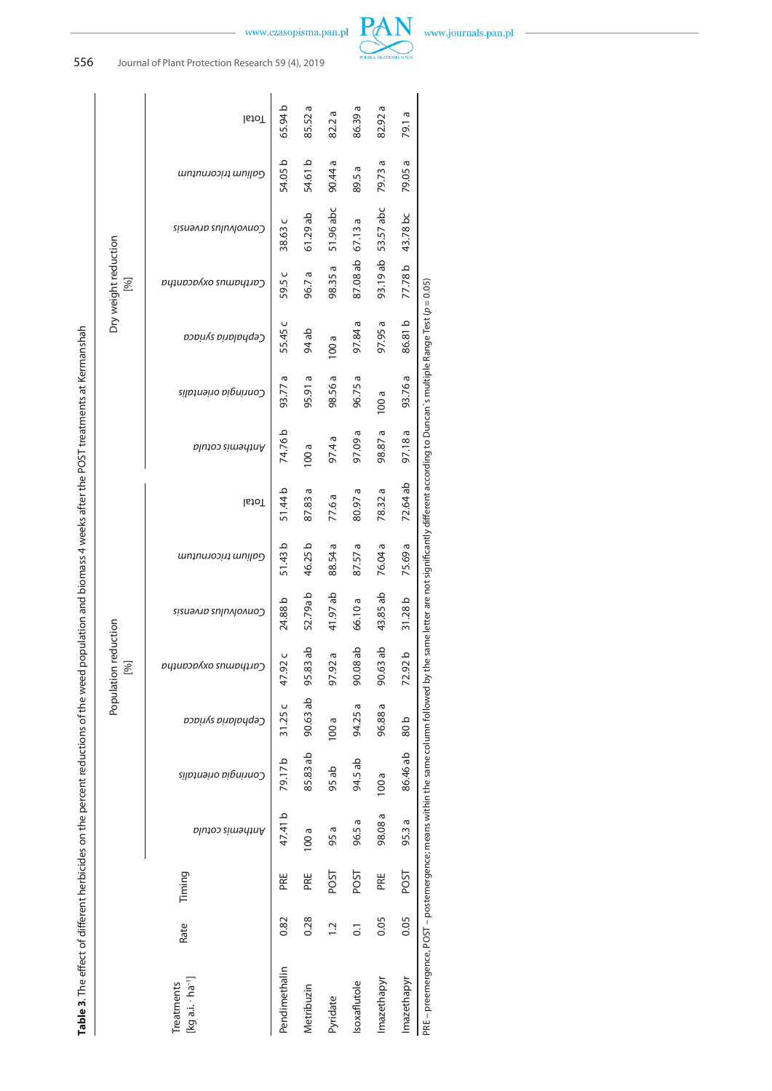# 556 Journal of Plant Protection Research 59 (4), 2019

Total

65.94 b 85.52 a 86.39 a 82.92 a

89.5 a

87.08 ab 67.13 a

97.84 a

97.09 a 98.87 a 97.18a

80.97 a

87.57a

90.08 ab 90.63 ab

94.25 a 96.88 a 80 b

94.5 ab

 $100a$ 

98.08 a 96.5 a

PRE

97.4 a 100 a

77.6 a

88.54 a

97.92 a

100 a

95 ab

95 a 100 a

> POST POST

82.2 a

90.44 a 54.61 b

51.96 abc

98.35 a

61.29 ab

96.7 a

94 ab 100 a

95.91 a 98.56 a 96.75 a

87.83 a

46.25 b

52.79a b 41.97 ab 66.10 a

95.83 ab

90.63 ab

85.83 ab

PRE

0.28  $\overline{a}$  $\overline{0}$ 

Metribuzin Pyridate





79.73 a 79.05 a

93.19 ab 53.57 abc

97.95 a

 $100a$ 

78.32 a

76.04 a

43.85 ab

79.1 a

43.78 bc

77.78 b

86.81 b

93.76 a

72.64 ab

75.69 a

31.28 b

72.92b

86.46 ab

95.3 a

POST

0.05 0.05

Imazethapyr Imazethapyr Isoxaflutole

|                                                                                                                                                          |                                             | auntum tricornutum          |                 |  |  |  |  |  |  |
|----------------------------------------------------------------------------------------------------------------------------------------------------------|---------------------------------------------|-----------------------------|-----------------|--|--|--|--|--|--|
|                                                                                                                                                          |                                             | <i>convolvulus arrensis</i> | 38.63 c         |  |  |  |  |  |  |
|                                                                                                                                                          | Dry weight reduction<br>[%]                 | Carthanay confrontha        | 59.5 c          |  |  |  |  |  |  |
|                                                                                                                                                          |                                             | <i>Cephalaria syriaca</i>   | 55.45 c         |  |  |  |  |  |  |
|                                                                                                                                                          |                                             | Conringia orientalis        | 93.77 a         |  |  |  |  |  |  |
|                                                                                                                                                          |                                             | Anthemis cotula             | 74.76b          |  |  |  |  |  |  |
|                                                                                                                                                          |                                             | Total                       | 51.44 b         |  |  |  |  |  |  |
|                                                                                                                                                          |                                             | auntum tricornutum          | 51.43b          |  |  |  |  |  |  |
|                                                                                                                                                          |                                             | Convolvulo zapral           | 24.88 b         |  |  |  |  |  |  |
|                                                                                                                                                          | Population reduction<br>[%]                 | Carthanovyso cumbiting      | 47.92 c         |  |  |  |  |  |  |
| Table 3. The effect of different herbicides on the percent reductions of the weed population and biomass 4 weeks after the POST treatments at Kermanshah |                                             | Cephalaria syriaca          | 11.25c          |  |  |  |  |  |  |
|                                                                                                                                                          |                                             | Comringia orientalis        |                 |  |  |  |  |  |  |
|                                                                                                                                                          |                                             | Anthemis cotula             | 47.41 b 79.17 b |  |  |  |  |  |  |
|                                                                                                                                                          | Timing                                      |                             |                 |  |  |  |  |  |  |
|                                                                                                                                                          | Rate                                        |                             |                 |  |  |  |  |  |  |
|                                                                                                                                                          | [kg a.i. - ha <sup>-1</sup> ]<br>Treatments |                             |                 |  |  |  |  |  |  |
|                                                                                                                                                          |                                             |                             |                 |  |  |  |  |  |  |

Table 3. The effect of different herbicides on the percent reductions of the weed population and biomass 4 weeks after the POST treatments at Kermanshah

Pendimethalin 0.82 PRE 47.41 b 79.17 b 31.25 c 47.92 c 24.88 b 51.43 b 51.44 b 74.76 b 93.77 a 55.45 c 59.5 c 38.63 c 54.05 b 65.94 b Metribuzin 0.28 PRE 100 a 85.83 ab 90.63 ab 95.83 ab 52.79a b 46.25 b 87.83 a 100 a 95.91 a 94 ab 96.7 a 61.29 ab 54.61 b 85.52 a Pyridate 1.2 POST 95 a 95 ab 100 a 97.92 a 41.97 ab 88.54 a 77.6 a 97.4 a 98.56 a 100 a 98.35 a 51.96 abc 90.44 a 82.2 a Isoxaflutole 0.1 POST 96.5 a 94.5 ab 94.25 a 90.08 ab 66.10 a 87.57 a 80.97 a 97.09 a 96.75 a 97.84 a 87.08 ab 67.13 a 89.5 a 86.39 a Imazethapyr 0.05 PRE 98.08 a 100 a 96.88 a 90.63 ab 43.85 ab 76.04 a 78.32 a 98.87 a 100 a 97.95 a 93.19 ab 53.57 abc 79.73 a 82.92 a Imazethapyr 0.05 POST 95.3a 86.46 ab 80.b 72.92.b 31.28.b 75.69 a 72.64 ab 97.18 98.81 b 77.78.b 43.78.bc 79.05 a

PRE – preemergence, POST – postemergence; means within the same column followed by the same letter are not significantly different according to Duncan's multiple Range Test (p = 0.05) PRE – preemergence, POST – postemergence; means within the same column followed by the same letter are not significantly different according to Duncan`s multiple Range Test (*p* = 0.05)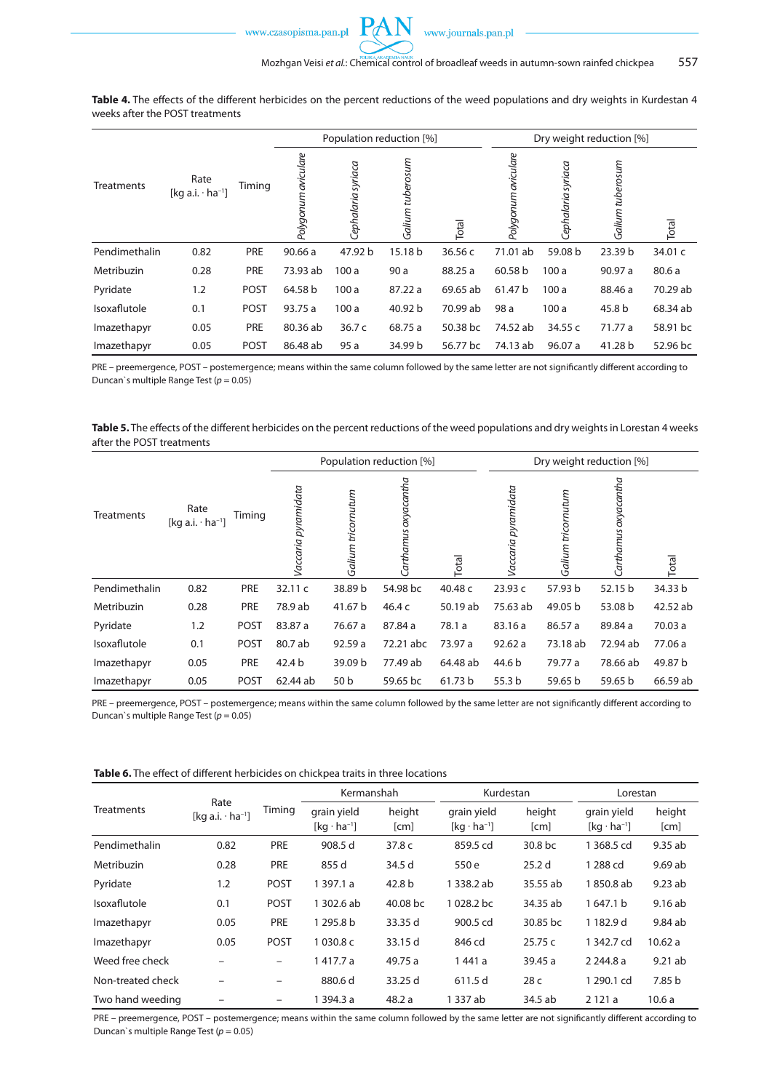

Population reduction [%] Dry weight reduction [%] Polygonum aviculare Polygonum aviculare *Polygonum aviculare Polygonum aviculare* Galium tuberosum *Galium tuberosum Galium tuberosum* Cephalaria syriaca *Cephalaria syriaca* Cephalaria syriaca *Cephalaria syriaca* Galium tuberosum Rate<br>Treatments Rate  $[kq a.i. · ha<sup>-1</sup>]$  Timing Total Total Pendimethalin 0.82 PRE 90.66 a 47.92 b 15.18 b 36.56 c 71.01 ab 59.08 b 23.39 b 34.01 c Metribuzin 0.28 PRE 73.93 ab 100 a 98.25 a 60.58 b 100 a 90.97 a 80.6 a Pyridate 1.2 POST 64.58 b 100 a 87.22 a 69.65 ab 61.47 b 100 a 88.46 a 70.29 ab Isoxaflutole 0.1 POST 93.75 a 100 a 40.92 b 70.99 ab 98 a 100 a 45.8 b 68.34 ab Imazethapyr 0.05 PRE 80.36 ab 36.7 c 68.75 a 50.38 bc 74.52 ab 34.55 c 71.77 a 58.91 bc Imazethapyr 0.05 POST 86.48 ab 95 a 34.99 b 56.77 bc 74.13 ab 96.07 a 41.28 b 52.96 bc

**Table 4.** The effects of the different herbicides on the percent reductions of the weed populations and dry weights in Kurdestan 4 weeks after the POST treatments

PRE – preemergence, POST – postemergence; means within the same column followed by the same letter are not significantly different according to Duncan`s multiple Range Test (*p* = 0.05)

**Table 5.** The effects of the different herbicides on the percent reductions of the weed populations and dry weights in Lorestan 4 weeks after the POST treatments

|               |                                             |             |                     |                    | Population reduction [%] |              | Dry weight reduction [%] |                    |                      |          |
|---------------|---------------------------------------------|-------------|---------------------|--------------------|--------------------------|--------------|--------------------------|--------------------|----------------------|----------|
| Treatments    | Rate<br>[kg a.i. $\cdot$ ha <sup>-1</sup> ] | Timing      | Vaccaria pyramidata | Galium tricornutum | Carthamus oxyacantha     | <b>Total</b> | Vaccaria pyramidata      | Galium tricornutum | Carthamus oxyacantha | Total    |
| Pendimethalin | 0.82                                        | PRE         | 32.11 c             | 38.89 b            | 54.98 bc                 | 40.48 c      | 23.93 c                  | 57.93 b            | 52.15 b              | 34.33 b  |
| Metribuzin    | 0.28                                        | PRE         | 78.9 ab             | 41.67 b            | 46.4 c                   | 50.19 ab     | 75.63 ab                 | 49.05 b            | 53.08 b              | 42.52 ab |
| Pyridate      | 1.2                                         | <b>POST</b> | 83.87 a             | 76.67 a            | 87.84 a                  | 78.1 a       | 83.16 a                  | 86.57 a            | 89.84 a              | 70.03 a  |
| Isoxaflutole  | 0.1                                         | <b>POST</b> | 80.7 ab             | 92.59 a            | 72.21 abc                | 73.97 a      | 92.62a                   | 73.18 ab           | 72.94 ab             | 77.06 a  |
| Imazethapyr   | 0.05                                        | PRE         | 42.4 b              | 39.09 b            | 77.49 ab                 | 64.48 ab     | 44.6 b                   | 79.77 a            | 78.66 ab             | 49.87 b  |
| Imazethapyr   | 0.05                                        | <b>POST</b> | 62.44 ab            | 50 <sub>b</sub>    | 59.65 bc                 | 61.73 b      | 55.3 <sub>b</sub>        | 59.65 b            | 59.65 b              | 66.59 ab |

PRE – preemergence, POST – postemergence; means within the same column followed by the same letter are not significantly different according to Duncan`s multiple Range Test (*p* = 0.05)

|                   |                                             | Timing      | Kermanshah                          |                | Kurdestan                           |                   | Lorestan                            |                |
|-------------------|---------------------------------------------|-------------|-------------------------------------|----------------|-------------------------------------|-------------------|-------------------------------------|----------------|
| <b>Treatments</b> | Rate<br>[kg a.i. $\cdot$ ha <sup>-1</sup> ] |             | grain yield<br>$[kq \cdot ha^{-1}]$ | height<br>[cm] | grain yield<br>$[kq \cdot ha^{-1}]$ | height<br>[cm]    | grain yield<br>$[kq \cdot ha^{-1}]$ | height<br>[cm] |
| Pendimethalin     | 0.82                                        | PRE         | 908.5 d                             | 37.8 c         | 859.5 cd                            | 30.8 bc           | 1 368.5 cd                          | 9.35ab         |
| Metribuzin        | 0.28                                        | PRE         | 855 d                               | 34.5 d         | 550 e                               | 25.2 <sub>d</sub> | 1 288 cd                            | 9.69 ab        |
| Pyridate          | 1.2                                         | <b>POST</b> | 1 397.1 a                           | 42.8 b         | 1 338.2 ab                          | 35.55 ab          | 1850.8 ab                           | 9.23ab         |
| Isoxaflutole      | 0.1                                         | <b>POST</b> | 1 302.6 ab                          | 40.08 bc       | 1028.2 bc                           | 34.35 ab          | 1647.1 b                            | 9.16ab         |
| Imazethapyr       | 0.05                                        | PRE         | 1 295.8 b                           | 33.35 d        | 900.5 cd                            | 30.85 bc          | 1182.9 d                            | 9.84 ab        |
| Imazethapyr       | 0.05                                        | <b>POST</b> | 1030.8 c                            | 33.15 d        | 846 cd                              | 25.75c            | 1342.7 cd                           | 10.62a         |
| Weed free check   |                                             | -           | 1417.7 a                            | 49.75 a        | 1441 a                              | 39.45 a           | 2 244.8 a                           | 9.21ab         |
| Non-treated check |                                             | -           | 880.6 d                             | 33.25 d        | 611.5 d                             | 28 <sub>c</sub>   | 1 290.1 cd                          | 7.85 b         |
| Two hand weeding  |                                             |             | 1 394.3 a                           | 48.2 a         | 1 337 ab                            | 34.5 ab           | 2121a                               | 10.6a          |

PRE – preemergence, POST – postemergence; means within the same column followed by the same letter are not significantly different according to Duncan`s multiple Range Test (*p* = 0.05)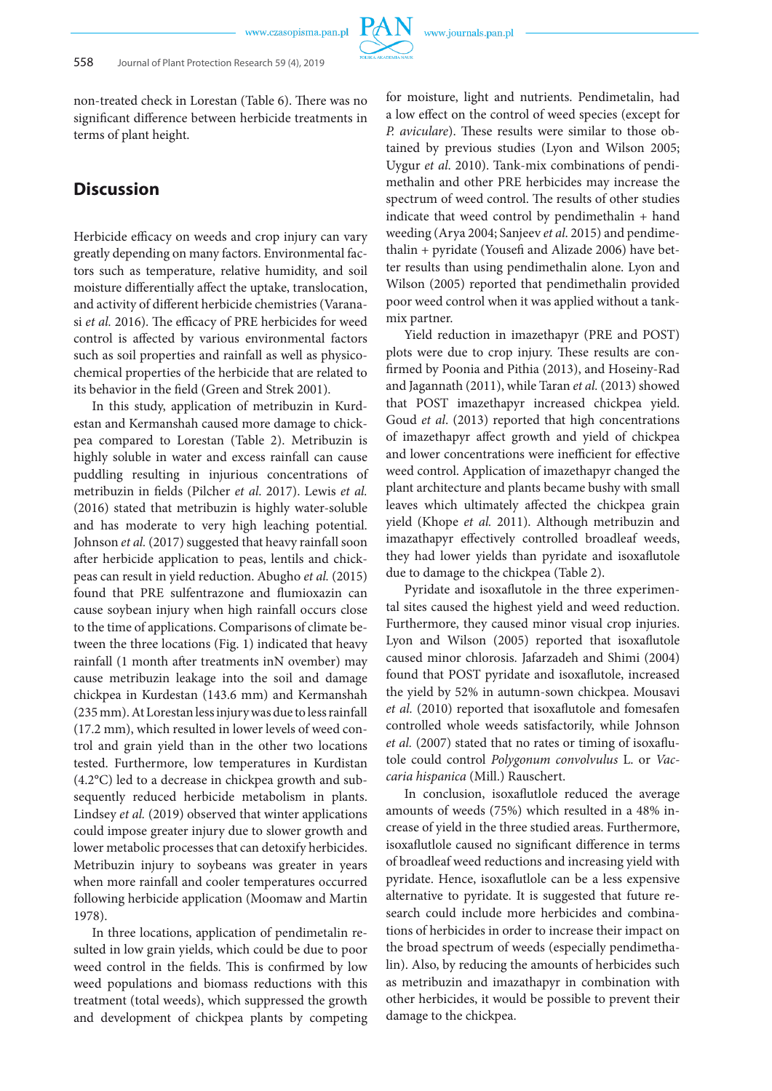non-treated check in Lorestan (Table 6). There was no significant difference between herbicide treatments in terms of plant height.

# **Discussion**

Herbicide efficacy on weeds and crop injury can vary greatly depending on many factors. Environmental fac tors such as temperature, relative humidity, and soil moisture differentially affect the uptake, translocation, and activity of different herbicide chemistries (Varanasi *et al.* 2016). The efficacy of PRE herbicides for weed control is affected by various environmental factors such as soil properties and rainfall as well as physicochemical properties of the herbicide that are related to its behavior in the field (Green and Strek 2001).

In this study, application of metribuzin in Kurdestan and Kermanshah caused more damage to chickpea compared to Lorestan (Table 2). Metribuzin is highly soluble in water and excess rainfall can cause puddling resulting in injurious concentrations of metribuzin in fields (Pilcher *et al*. 2017). Lewis *et al.* (2016) stated that metribuzin is highly water-soluble and has moderate to very high leaching potential. Johnson *et al.* (2017) suggested that heavy rainfall soon after herbicide application to peas, lentils and chickpeas can result in yield reduction. Abugho *et al.* (2015) found that PRE sulfentrazone and flumioxazin can cause soybean injury when high rainfall occurs close to the time of applications. Comparisons of climate between the three locations (Fig. 1) indicated that heavy rainfall (1 month after treatments inN ovember) may cause metribuzin leakage into the soil and damage chickpea in Kurdestan (143.6 mm) and Kermanshah (235 mm). At Lorestan less injury was due to less rainfall (17.2 mm), which resulted in lower levels of weed control and grain yield than in the other two locations tested. Furthermore, low temperatures in Kurdistan (4.2°C) led to a decrease in chickpea growth and subsequently reduced herbicide metabolism in plants. Lindsey *et al.* (2019) observed that winter applications could impose greater injury due to slower growth and lower metabolic processes that can detoxify herbicides. Metribuzin injury to soybeans was greater in years when more rainfall and cooler temperatures occurred following herbicide application (Moomaw and Martin 1978).

In three locations, application of pendimetalin resulted in low grain yields, which could be due to poor weed control in the fields. This is confirmed by low weed populations and biomass reductions with this treatment (total weeds), which suppressed the growth and development of chickpea plants by competing

for moisture, light and nutrients. Pendimetalin, had a low effect on the control of weed species (except for *P. aviculare*). These results were similar to those obtained by previous studies (Lyon and Wilson 2005; Uygur *et al*. 2010). Tank-mix combinations of pendimethalin and other PRE herbicides may increase the spectrum of weed control. The results of other studies indicate that weed control by pendimethalin + hand weeding (Arya 2004; Sanjeev *et al*. 2015) and pendimethalin + pyridate (Yousefi and Alizade 2006) have better results than using pendimethalin alone. Lyon and Wilson (2005) reported that pendimethalin provided poor weed control when it was applied without a tankmix partner.

Yield reduction in imazethapyr (PRE and POST) plots were due to crop injury. These results are confirmed by Poonia and Pithia (2013), and Hoseiny-Rad and Jagannath (2011), while Taran *et al.* (2013) showed that POST imazethapyr increased chickpea yield. Goud *et al*. (2013) reported that high concentrations of imazethapyr affect growth and yield of chickpea and lower concentrations were inefficient for effective weed control. Application of imazethapyr changed the plant architecture and plants became bushy with small leaves which ultimately affected the chickpea grain yield (Khope *et al.* 2011). Although metribuzin and imazathapyr effectively controlled broadleaf weeds, they had lower yields than pyridate and isoxaflutole due to damage to the chickpea (Table 2).

Pyridate and isoxaflutole in the three experimental sites caused the highest yield and weed reduction. Furthermore, they caused minor visual crop injuries. Lyon and Wilson (2005) reported that isoxaflutole caused minor chlorosis. Jafarzadeh and Shimi (2004) found that POST pyridate and isoxaflutole, increased the yield by 52% in autumn-sown chickpea. Mousavi *et al.* (2010) reported that isoxaflutole and fomesafen controlled whole weeds satisfactorily, while Johnson *et al.* (2007) stated that no rates or timing of isoxaflutole could control *Polygonum convolvulus* L. or *Vaccaria hispanica* (Mill.) Rauschert.

In conclusion, isoxaflutlole reduced the average amounts of weeds (75%) which resulted in a 48% increase of yield in the three studied areas. Furthermore, isoxaflutlole caused no significant difference in terms of broadleaf weed reductions and increasing yield with pyridate. Hence, isoxaflutlole can be a less expensive alternative to pyridate. It is suggested that future research could include more herbicides and combinations of herbicides in order to increase their impact on the broad spectrum of weeds (especially pendimethalin). Also, by reducing the amounts of herbicides such as metribuzin and imazathapyr in combination with other herbicides, it would be possible to prevent their damage to the chickpea.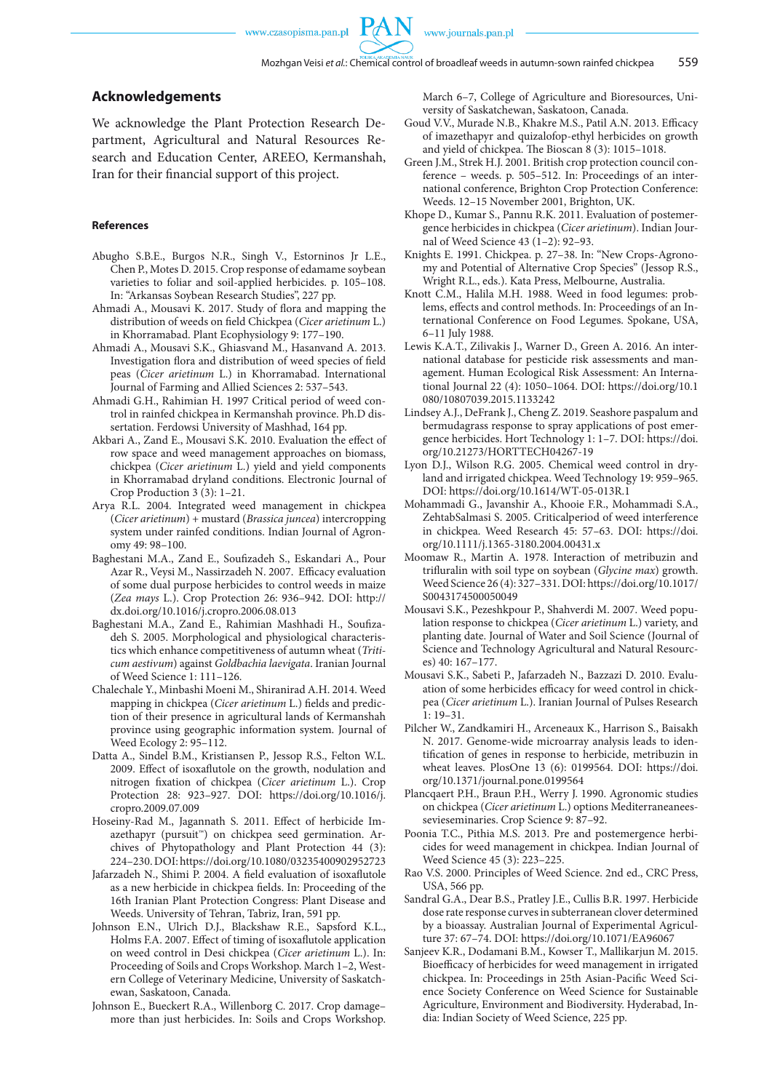#### **Acknowledgements**

We acknowledge the Plant Protection Research Department, Agricultural and Natural Resources Research and Education Center, AREEO, Kermanshah, Iran for their financial support of this project.

#### **References**

- Abugho S.B.E., Burgos N.R., Singh V., Estorninos Jr L.E., Chen P., Motes D. 2015. Crop response of edamame soybean varieties to foliar and soil-applied herbicides. p. 105–108. In: "Arkansas Soybean Research Studies", 227 pp.
- Ahmadi A., Mousavi K. 2017. Study of flora and mapping the distribution of weeds on field Chickpea (*Cicer arietinum* L.) in Khorramabad. Plant Ecophysiology 9: 177–190.
- Ahmadi A., Mousavi S.K., Ghiasvand M., Hasanvand A. 2013. Investigation flora and distribution of weed species of field peas (*Cicer arietinum* L.) in Khorramabad. International Journal of Farming and Allied Sciences 2: 537–543.
- Ahmadi G.H., Rahimian H. 1997 Critical period of weed control in rainfed chickpea in Kermanshah province. Ph.D dissertation. Ferdowsi University of Mashhad, 164 pp.
- Akbari A., Zand E., Mousavi S.K. 2010. Evaluation the effect of row space and weed management approaches on biomass, chickpea (*Cicer arietinum* L.) yield and yield components in Khorramabad dryland conditions. Electronic Journal of Crop Production 3 (3): 1–21.
- Arya R.L. 2004. Integrated weed management in chickpea (*Cicer arietinum*) + mustard (*Brassica juncea*) intercropping system under rainfed conditions. Indian Journal of Agronomy 49: 98–100.
- Baghestani M.A., Zand E., Soufizadeh S., Eskandari A., Pour Azar R., Veysi M., Nassirzadeh N. 2007. Efficacy evaluation of some dual purpose herbicides to control weeds in maize (*Zea mays* L.). Crop Protection 26: 936–942. DOI: http:// dx.doi.org/10.1016/j.cropro.2006.08.013
- Baghestani M.A., Zand E., Rahimian Mashhadi H., Soufizadeh S. 2005. Morphological and physiological characteristics which enhance competitiveness of autumn wheat (*Triticum aestivum*) against *Goldbachia laevigata*. Iranian Journal of Weed Science 1: 111–126.
- Chalechale Y., Minbashi Moeni M., Shiranirad A.H. 2014. Weed mapping in chickpea (*Cicer arietinum* L.) fields and prediction of their presence in agricultural lands of Kermanshah province using geographic information system. Journal of Weed Ecology 2: 95–112.
- Datta A., Sindel B.M., Kristiansen P., Jessop R.S., Felton W.L. 2009. Effect of isoxaflutole on the growth, nodulation and nitrogen fixation of chickpea (*Cicer arietinum* L.). Crop Protection 28: 923–927. DOI: https://doi.org/10.1016/j. cropro.2009.07.009
- Hoseiny-Rad M., Jagannath S. 2011. Effect of herbicide Imazethapyr (pursuit™) on chickpea seed germination. Archives of Phytopathology and Plant Protection 44 (3): 224–230. DOI: https://doi.org/10.1080/03235400902952723
- Jafarzadeh N., Shimi P. 2004. A field evaluation of isoxaflutole as a new herbicide in chickpea fields. In: Proceeding of the 16th Iranian Plant Protection Congress: Plant Disease and Weeds. University of Tehran, Tabriz, Iran, 591 pp.
- Johnson E.N., Ulrich D.J., Blackshaw R.E., Sapsford K.L., Holms F.A. 2007. Effect of timing of isoxaflutole application on weed control in Desi chickpea (*Cicer arietinum* L.). In: Proceeding of Soils and Crops Workshop. March 1–2, Western College of Veterinary Medicine, University of Saskatchewan, Saskatoon, Canada.
- Johnson E., Bueckert R.A., Willenborg C. 2017. Crop damage– more than just herbicides. In: Soils and Crops Workshop.

March 6–7, College of Agriculture and Bioresources, University of Saskatchewan, Saskatoon, Canada.

- Goud V.V., Murade N.B., Khakre M.S., Patil A.N. 2013. Efficacy of imazethapyr and quizalofop-ethyl herbicides on growth and yield of chickpea. The Bioscan 8 (3): 1015–1018.
- Green J.M., Strek H.J. 2001. British crop protection council conference – weeds. p. 505–512. In: Proceedings of an international conference, Brighton Crop Protection Conference: Weeds. 12–15 November 2001, Brighton, UK.
- Khope D., Kumar S., Pannu R.K. 2011. Evaluation of postemergence herbicides in chickpea (*Cicer arietinum*). Indian Journal of Weed Science 43 (1–2): 92–93.
- Knights E. 1991. Chickpea. p. 27–38. In: "New Crops-Agronomy and Potential of Alternative Crop Species" (Jessop R.S., Wright R.L., eds.). Kata Press, Melbourne, Australia.
- Knott C.M., Halila M.H. 1988. Weed in food legumes: problems, effects and control methods. In: Proceedings of an International Conference on Food Legumes. Spokane, USA, 6–11 July 1988.
- Lewis K.A.T., Zilivakis J., Warner D., Green A. 2016. An international database for pesticide risk assessments and management. Human Ecological Risk Assessment: An International Journal 22 (4): 1050–1064. DOI: https://doi.org/10.1 080/10807039.2015.1133242
- Lindsey A.J., DeFrank J., Cheng Z. 2019. Seashore paspalum and bermudagrass response to spray applications of post emergence herbicides. Hort Technology 1: 1–7. DOI: https://doi. org/10.21273/HORTTECH04267-19
- Lyon D.J., Wilson R.G. 2005. Chemical weed control in dryland and irrigated chickpea. Weed Technology 19: 959–965. DOI: https://doi.org/10.1614/WT-05-013R.1
- Mohammadi G., Javanshir A., Khooie F.R., Mohammadi S.A., ZehtabSalmasi S. 2005. Criticalperiod of weed interference in chickpea. Weed Research 45: 57–63. DOI: https://doi. org/10.1111/j.1365-3180.2004.00431.x
- Moomaw R., Martin A. 1978. Interaction of metribuzin and trifluralin with soil type on soybean (*Glycine max*) growth. Weed Science 26 (4): 327–331. DOI: https://doi.org/10.1017/ S0043174500050049
- Mousavi S.K., Pezeshkpour P., Shahverdi M. 2007. Weed population response to chickpea (*Cicer arietinum* L.) variety, and planting date. Journal of Water and Soil Science (Journal of Science and Technology Agricultural and Natural Resources) 40: 167–177.
- Mousavi S.K., Sabeti P., Jafarzadeh N., Bazzazi D. 2010. Evaluation of some herbicides efficacy for weed control in chickpea (*Cicer arietinum* L.). Iranian Journal of Pulses Research 1: 19–31.
- Pilcher W., Zandkamiri H., Arceneaux K., Harrison S., Baisakh N. 2017. Genome-wide microarray analysis leads to identification of genes in response to herbicide, metribuzin in wheat leaves. PlosOne 13 (6): 0199564. DOI: https://doi. org/10.1371/journal.pone.0199564
- Plancqaert P.H., Braun P.H., Werry J. 1990. Agronomic studies on chickpea (*Cicer arietinum* L.) options Mediterraneaneessevieseminaries. Crop Science 9: 87–92.
- Poonia T.C., Pithia M.S. 2013. Pre and postemergence herbicides for weed management in chickpea. Indian Journal of Weed Science 45 (3): 223–225.
- Rao V.S. 2000. Principles of Weed Science. 2nd ed., CRC Press, USA, 566 pp.
- Sandral G.A., Dear B.S., Pratley J.E., Cullis B.R. 1997. Herbicide dose rate response curves in subterranean clover determined by a bioassay. Australian Journal of Experimental Agriculture 37: 67–74. DOI: https://doi.org/10.1071/EA96067
- Sanjeev K.R., Dodamani B.M., Kowser T., Mallikarjun M. 2015. Bioefficacy of herbicides for weed management in irrigated chickpea. In: Proceedings in 25th Asian-Pacific Weed Science Society Conference on Weed Science for Sustainable Agriculture, Environment and Biodiversity. Hyderabad, India: Indian Society of Weed Science, 225 pp.